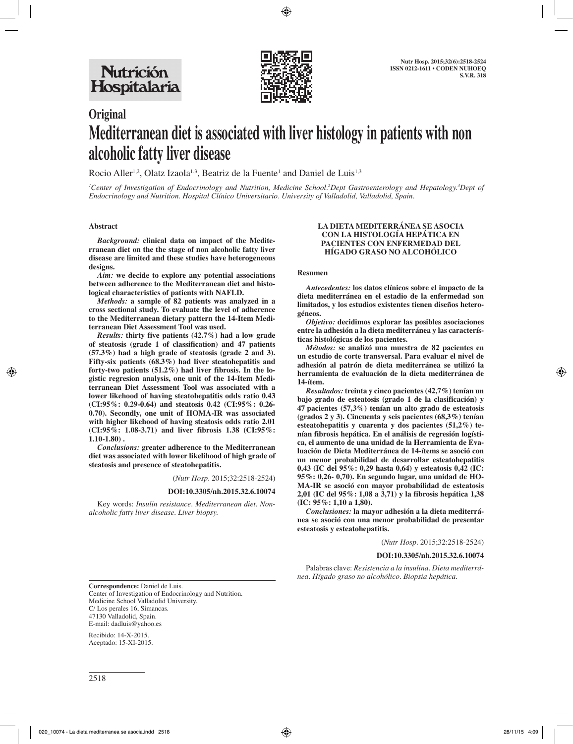

# **Original Mediterranean diet is associated with liver histology in patients with non alcoholic fatty liver disease**

Rocio Aller<sup>1,2</sup>, Olatz Izaola<sup>1,3</sup>, Beatriz de la Fuente<sup>1</sup> and Daniel de Luis<sup>1,3</sup>

*1 Center of Investigation of Endocrinology and Nutrition, Medicine School.2 Dept Gastroenterology and Hepatology.3 Dept of Endocrinology and Nutrition. Hospital Clínico Universitario. University of Valladolid, Valladolid, Spain.*

#### **Abstract**

*Background:* **clinical data on impact of the Mediterranean diet on the the stage of non alcoholic fatty liver disease are limited and these studies have heterogeneous designs.**

*Aim:* **we decide to explore any potential associations between adherence to the Mediterranean diet and histological characteristics of patients with NAFLD.**

*Methods:* **a sample of 82 patients was analyzed in a cross sectional study. To evaluate the level of adherence to the Mediterranean dietary pattern the 14-Item Mediterranean Diet Assessment Tool was used.**

*Results:* **thirty five patients (42.7%) had a low grade of steatosis (grade 1 of classification) and 47 patients (57.3%) had a high grade of steatosis (grade 2 and 3). Fifty-six patients (68.3%) had liver steatohepatitis and forty-two patients (51.2%) had liver fibrosis. In the logistic regresion analysis, one unit of the 14-Item Mediterranean Diet Assessment Tool was associated with a lower likehood of having steatohepatitis odds ratio 0.43 (CI:95%: 0.29-0.64) and steatosis 0.42 (CI:95%: 0.26- 0.70). Secondly, one unit of HOMA-IR was associated with higher likehood of having steatosis odds ratio 2.01 (CI:95%: 1.08-3.71) and liver fibrosis 1.38 (CI:95%: 1.10-1.80) .**

*Conclusions:* **greater adherence to the Mediterranean diet was associated with lower likelihood of high grade of steatosis and presence of steatohepatitis.**

(*Nutr Hosp.* 2015;32:2518-2524)

#### **DOI:10.3305/nh.2015.32.6.10074**

Key words: *Insulin resistance. Mediterranean diet. Nonalcoholic fatty liver disease. Liver biopsy.*

#### **LA DIETA MEDITERRÁNEA SE ASOCIA CON LA HISTOLOGÍA HEPÁTICA EN PACIENTES CON ENFERMEDAD DEL HÍGADO GRASO NO ALCOHÓLICO**

#### **Resumen**

*Antecedentes:* **los datos clínicos sobre el impacto de la dieta mediterránea en el estadio de la enfermedad son limitados, y los estudios existentes tienen diseños heterogéneos.**

*Objetivo:* **decidimos explorar las posibles asociaciones entre la adhesión a la dieta mediterránea y las características histológicas de los pacientes.**

*Métodos:* **se analizó una muestra de 82 pacientes en un estudio de corte transversal. Para evaluar el nivel de adhesión al patrón de dieta mediterránea se utilizó la herramienta de evaluación de la dieta mediterránea de 14-ítem.**

*Resultados:* **treinta y cinco pacientes (42,7%) tenían un bajo grado de esteatosis (grado 1 de la clasificación) y 47 pacientes (57,3%) tenían un alto grado de esteatosis (grados 2 y 3). Cincuenta y seis pacientes (68,3%) tenían esteatohepatitis y cuarenta y dos pacientes (51,2%) tenían fibrosis hepática. En el análisis de regresión logística, el aumento de una unidad de la Herramienta de Evaluación de Dieta Mediterránea de 14-ítems se asoció con un menor probabilidad de desarrollar esteatohepatitis 0,43 (IC del 95%: 0,29 hasta 0,64) y esteatosis 0,42 (IC: 95%: 0,26- 0,70). En segundo lugar, una unidad de HO-MA-IR se asoció con mayor probabilidad de esteatosis 2,01 (IC del 95%: 1,08 a 3,71) y la fibrosis hepática 1,38 (IC: 95%: 1,10 a 1,80).**

*Conclusiones:* **la mayor adhesión a la dieta mediterránea se asoció con una menor probabilidad de presentar esteatosis y esteatohepatitis.**

(*Nutr Hosp.* 2015;32:2518-2524)

#### **DOI:10.3305/nh.2015.32.6.10074**

Palabras clave: *Resistencia a la insulina. Dieta mediterránea. Hígado graso no alcohólico. Biopsia hepática.*

**Correspondence:** Daniel de Luis. Center of Investigation of Endocrinology and Nutrition. Medicine School Valladolid University. C/ Los perales 16, Simancas. 47130 Valladolid, Spain. E-mail: dadluis@yahoo.es

Recibido: 14-X-2015. Aceptado: 15-XI-2015.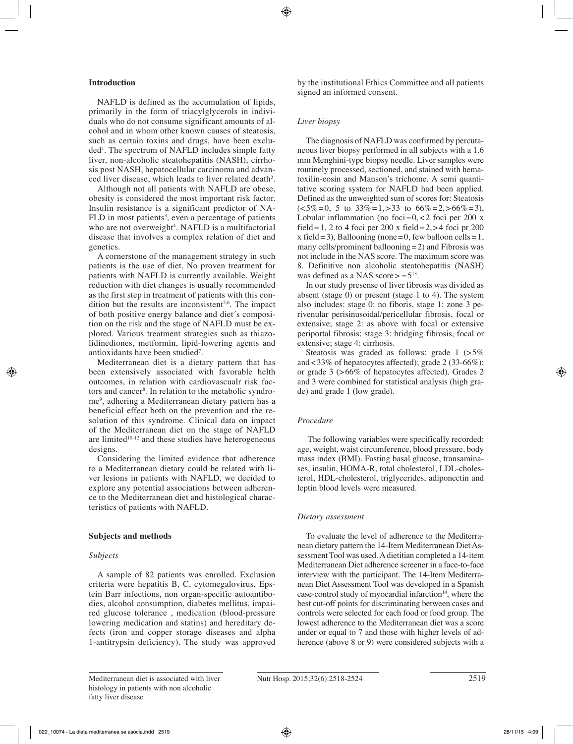# **Introduction**

NAFLD is defined as the accumulation of lipids, primarily in the form of triacylglycerols in individuals who do not consume significant amounts of alcohol and in whom other known causes of steatosis, such as certain toxins and drugs, have been excluded1 . The spectrum of NAFLD includes simple fatty liver, non-alcoholic steatohepatitis (NASH), cirrhosis post NASH, hepatocellular carcinoma and advanced liver disease, which leads to liver related death<sup>2</sup>.

Although not all patients with NAFLD are obese, obesity is considered the most important risk factor. Insulin resistance is a significant predictor of NA-FLD in most patients<sup>3</sup>, even a percentage of patients who are not overweight<sup>4</sup>. NAFLD is a multifactorial disease that involves a complex relation of diet and genetics.

A cornerstone of the management strategy in such patients is the use of diet. No proven treatment for patients with NAFLD is currently available. Weight reduction with diet changes is usually recommended as the first step in treatment of patients with this condition but the results are inconsistent<sup>5,6</sup>. The impact of both positive energy balance and diet´s composition on the risk and the stage of NAFLD must be explored. Various treatment strategies such as thiazolidinediones, metformin, lipid-lowering agents and antioxidants have been studied<sup>7</sup>.

Mediterranean diet is a dietary pattern that has been extensively associated with favorable helth outcomes, in relation with cardiovascualr risk factors and cancer8 . In relation to the metabolic syndrome9 , adhering a Mediterranean dietary pattern has a beneficial effect both on the prevention and the resolution of this syndrome. Clinical data on impact of the Mediterranean diet on the stage of NAFLD are limited $10-12$  and these studies have heterogeneous designs.

Considering the limited evidence that adherence to a Mediterranean dietary could be related with liver lesions in patients with NAFLD, we decided to explore any potential associations between adherence to the Mediterranean diet and histological characteristics of patients with NAFLD.

# **Subjects and methods**

#### *Subjects*

A sample of 82 patients was enrolled. Exclusion criteria were hepatitis B, C, cytomegalovirus, Epstein Barr infections, non organ-specific autoantibodies, alcohol consumption, diabetes mellitus, impaired glucose tolerance , medication (blood-pressure lowering medication and statins) and hereditary defects (iron and copper storage diseases and alpha 1-antitrypsin deficiency). The study was approved by the institutional Ethics Committee and all patients signed an informed consent.

# *Liver biopsy*

The diagnosis of NAFLD was confirmed by percutaneous liver biopsy performed in all subjects with a 1.6 mm Menghini-type biopsy needle. Liver samples were routinely processed, sectioned, and stained with hematoxilin-eosin and Manson's trichome. A semi quantitative scoring system for NAFLD had been applied. Defined as the unweighted sum of scores for: Steatosis  $\left( \langle 5\% = 0, 5 \text{ to } 33\% = 1, \rangle 33 \text{ to } 66\% = 2, \rangle 66\% = 3 \right)$ Lobular inflammation (no foci= $0, < 2$  foci per 200 x field=1, 2 to 4 foci per 200 x field=2, $>4$  foci pr 200 x field=3), Ballooning (none=0, few balloon cells=1, many cells/prominent ballooning=2) and Fibrosis was not include in the NAS score. The maximum score was 8. Definitive non alcoholic steatohepatitis (NASH) was defined as a NAS score $\ge$  = 5<sup>13</sup>.

In our study presense of liver fibrosis was divided as absent (stage 0) or present (stage 1 to 4). The system also includes: stage 0: no fiboris, stage 1: zone 3 perivenular perisinusoidal/pericellular fibrosis, focal or extensive; stage 2: as above with focal or extensive periportal fibrosis; stage 3: bridging fibrosis, focal or extensive; stage 4: cirrhosis.

Steatosis was graded as follows: grade 1 (>5%) and<33% of hepatocytes affected); grade 2 (33-66%); or grade 3 (>66% of hepatocytes affected). Grades 2 and 3 were combined for statistical analysis (high grade) and grade 1 (low grade).

# *Procedure*

 The following variables were specifically recorded: age, weight, waist circumference, blood pressure, body mass index (BMI). Fasting basal glucose, transaminases, insulin, HOMA-R, total cholesterol, LDL-cholesterol, HDL-cholesterol, triglycerides, adiponectin and leptin blood levels were measured.

# *Dietary assessment*

To evaluate the level of adherence to the Mediterranean dietary pattern the 14-Item Mediterranean Diet Assessment Tool was used. A dietitian completed a 14-item Mediterranean Diet adherence screener in a face-to-face interview with the participant. The 14-Item Mediterranean Diet Assessment Tool was developed in a Spanish case-control study of myocardial infarction $14$ , where the best cut-off points for discriminating between cases and controls were selected for each food or food group. The lowest adherence to the Mediterranean diet was a score under or equal to 7 and those with higher levels of adherence (above 8 or 9) were considered subjects with a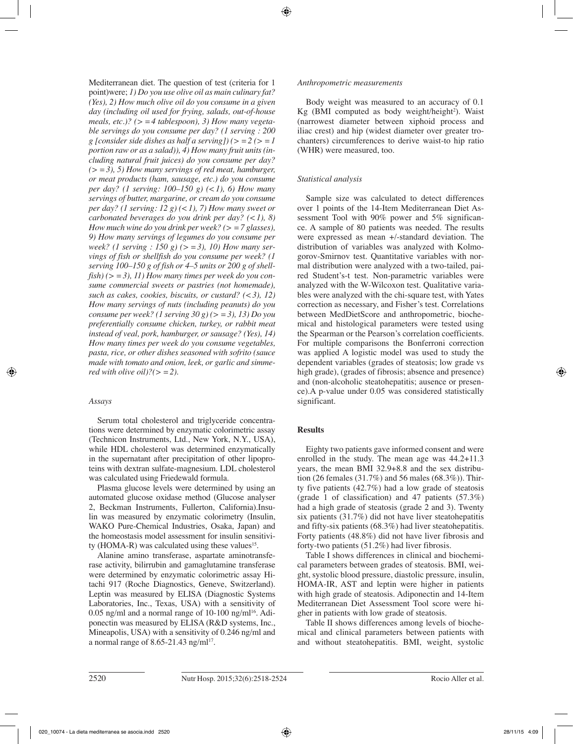Mediterranean diet. The question of test (criteria for 1 point)were; *1) Do you use olive oil as main culinary fat? (Yes), 2) How much olive oil do you consume in a given day (including oil used for frying, salads, out-of-house meals, etc.)? (> =4 tablespoon), 3) How many vegetable servings do you consume per day? (1 serving : 200 g [consider side dishes as half a serving]) (> =2 (> =1 portion raw or as a salad)), 4) How many fruit units (including natural fruit juices) do you consume per day? (> =3), 5) How many servings of red meat, hamburger, or meat products (ham, sausage, etc.) do you consume per day? (1 serving: 100–150 g) (<1), 6) How many servings of butter, margarine, or cream do you consume per day? (1 serving: 12 g) (<1), 7) How many sweet or carbonated beverages do you drink per day? (<1), 8) How much wine do you drink per week? (> =7 glasses), 9) How many servings of legumes do you consume per week? (1 serving : 150 g) (> =3), 10) How many servings of fish or shellfish do you consume per week? (1 serving 100–150 g of fish or 4–5 units or 200 g of shellfish) (> =3), 11) How many times per week do you consume commercial sweets or pastries (not homemade), such as cakes, cookies, biscuits, or custard? (<3), 12) How many servings of nuts (including peanuts) do you consume per week? (1 serving 30 g) (> =3), 13) Do you preferentially consume chicken, turkey, or rabbit meat instead of veal, pork, hamburger, or sausage? (Yes), 14) How many times per week do you consume vegetables, pasta, rice, or other dishes seasoned with sofrito (sauce made with tomato and onion, leek, or garlic and simmered with olive oil* $?$ ( $> = 2$ ).

# *Assays*

Serum total cholesterol and triglyceride concentrations were determined by enzymatic colorimetric assay (Technicon Instruments, Ltd., New York, N.Y., USA), while HDL cholesterol was determined enzymatically in the supernatant after precipitation of other lipoproteins with dextran sulfate-magnesium. LDL cholesterol was calculated using Friedewald formula.

Plasma glucose levels were determined by using an automated glucose oxidase method (Glucose analyser 2, Beckman Instruments, Fullerton, California).Insulin was measured by enzymatic colorimetry (Insulin, WAKO Pure-Chemical Industries, Osaka, Japan) and the homeostasis model assessment for insulin sensitivity (HOMA-R) was calculated using these values<sup>15</sup>.

Alanine amino transferase, aspartate aminotransferase activity, bilirrubin and gamaglutamine transferase were determined by enzymatic colorimetric assay Hitachi 917 (Roche Diagnostics, Geneve, Switzerland). Leptin was measured by ELISA (Diagnostic Systems Laboratories, Inc., Texas, USA) with a sensitivity of 0.05 ng/ml and a normal range of 10-100 ng/ml<sup>16</sup>. Adiponectin was measured by ELISA (R&D systems, Inc., Mineapolis, USA) with a sensitivity of 0.246 ng/ml and a normal range of 8.65-21.43 ng/m $1^{17}$ .

#### *Anthropometric measurements*

Body weight was measured to an accuracy of 0.1  $Kg$  (BMI computed as body weight/height<sup>2</sup>). Waist (narrowest diameter between xiphoid process and iliac crest) and hip (widest diameter over greater trochanters) circumferences to derive waist-to hip ratio (WHR) were measured, too.

# *Statistical analysis*

Sample size was calculated to detect differences over 1 points of the 14-Item Mediterranean Diet Assessment Tool with 90% power and 5% significance. A sample of 80 patients was needed. The results were expressed as mean +/-standard deviation. The distribution of variables was analyzed with Kolmogorov-Smirnov test. Quantitative variables with normal distribution were analyzed with a two-tailed, paired Student's-t test. Non-parametric variables were analyzed with the W-Wilcoxon test. Qualitative variables were analyzed with the chi-square test, with Yates correction as necessary, and Fisher's test. Correlations between MedDietScore and anthropometric, biochemical and histological parameters were tested using the Spearman or the Pearson's correlation coefficients. For multiple comparisons the Bonferroni correction was applied A logistic model was used to study the dependent variables (grades of steatosis; low grade vs high grade), (grades of fibrosis; absence and presence) and (non-alcoholic steatohepatitis; ausence or presence).A p-value under 0.05 was considered statistically significant.

# **Results**

Eighty two patients gave informed consent and were enrolled in the study. The mean age was 44.2+11.3 years, the mean BMI 32.9+8.8 and the sex distribution (26 females (31.7%) and 56 males (68.3%)). Thirty five patients (42.7%) had a low grade of steatosis (grade 1 of classification) and 47 patients (57.3%) had a high grade of steatosis (grade 2 and 3). Twenty six patients (31.7%) did not have liver steatohepatitis and fifty-six patients (68.3%) had liver steatohepatitis. Forty patients (48.8%) did not have liver fibrosis and forty-two patients (51.2%) had liver fibrosis.

Table I shows differences in clinical and biochemical parameters between grades of steatosis. BMI, weight, systolic blood pressure, diastolic pressure, insulin, HOMA-IR, AST and leptin were higher in patients with high grade of steatosis. Adiponectin and 14-Item Mediterranean Diet Assessment Tool score were higher in patients with low grade of steatosis.

Table II shows differences among levels of biochemical and clinical parameters between patients with and without steatohepatitis. BMI, weight, systolic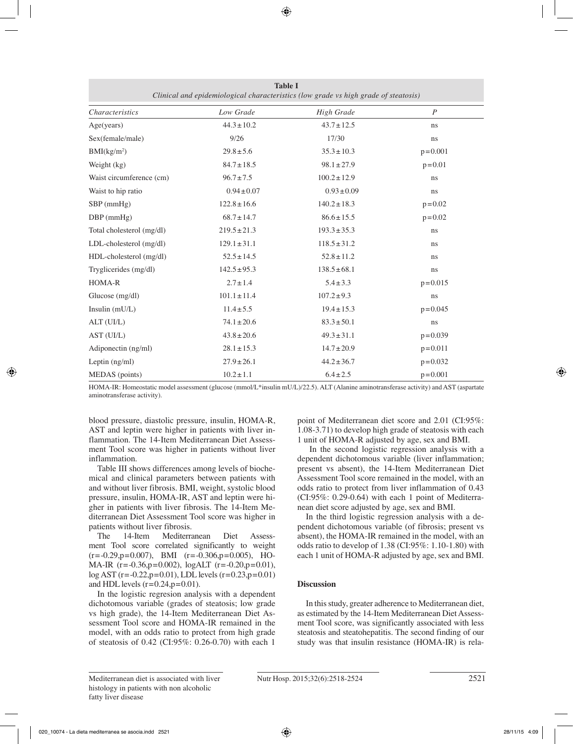| Clinical and epidemiological characteristics (low grade vs high grade of steatosis) |                  |                   |                  |  |  |
|-------------------------------------------------------------------------------------|------------------|-------------------|------------------|--|--|
| <b>Characteristics</b>                                                              | Low Grade        | <b>High Grade</b> | $\boldsymbol{P}$ |  |  |
| Age(years)                                                                          | $44.3 \pm 10.2$  | $43.7 \pm 12.5$   | ns               |  |  |
| Sex(female/male)                                                                    | 9/26             | 17/30             | ns               |  |  |
| BMI(kg/m <sup>2</sup> )                                                             | $29.8 \pm 5.6$   | $35.3 \pm 10.3$   | $p = 0.001$      |  |  |
| Weight (kg)                                                                         | $84.7 \pm 18.5$  | $98.1 \pm 27.9$   | $p = 0.01$       |  |  |
| Waist circumference (cm)                                                            | $96.7 \pm 7.5$   | $100.2 \pm 12.9$  | ns               |  |  |
| Waist to hip ratio                                                                  | $0.94 \pm 0.07$  | $0.93 \pm 0.09$   | ns               |  |  |
| $SBP$ (mmHg)                                                                        | $122.8 \pm 16.6$ | $140.2 \pm 18.3$  | $p = 0.02$       |  |  |
| $DBP$ (mmHg)                                                                        | $68.7 \pm 14.7$  | $86.6 \pm 15.5$   | $p = 0.02$       |  |  |
| Total cholesterol (mg/dl)                                                           | $219.5 \pm 21.3$ | $193.3 \pm 35.3$  | ns               |  |  |
| LDL-cholesterol (mg/dl)                                                             | $129.1 \pm 31.1$ | $118.5 \pm 31.2$  | ns               |  |  |
| HDL-cholesterol (mg/dl)                                                             | $52.5 \pm 14.5$  | $52.8 \pm 11.2$   | ns               |  |  |
| Tryglicerides (mg/dl)                                                               | $142.5 \pm 95.3$ | $138.5 \pm 68.1$  | $\rm ns$         |  |  |
| HOMA-R                                                                              | $2.7 \pm 1.4$    | $5.4 \pm 3.3$     | $p = 0.015$      |  |  |
| Glucose $(mg/dl)$                                                                   | $101.1 \pm 11.4$ | $107.2 \pm 9.3$   | ns               |  |  |
| Insulin $(mU/L)$                                                                    | $11.4 \pm 5.5$   | $19.4 \pm 15.3$   | $p = 0.045$      |  |  |
| ALT (UI/L)                                                                          | $74.1 \pm 20.6$  | $83.3 \pm 50.1$   | ns               |  |  |
| AST (UI/L)                                                                          | $43.8 \pm 20.6$  | $49.3 \pm 31.1$   | $p = 0.039$      |  |  |
| Adiponectin (ng/ml)                                                                 | $28.1 \pm 15.3$  | $14.7 \pm 20.9$   | $p = 0.011$      |  |  |
| Leptin $(ng/ml)$                                                                    | $27.9 \pm 26.1$  | $44.2 \pm 36.7$   | $p = 0.032$      |  |  |
| MEDAS (points)                                                                      | $10.2 \pm 1.1$   | $6.4 \pm 2.5$     | $p = 0.001$      |  |  |

**Table I**

HOMA-IR: Homeostatic model assessment (glucose (mmol/L\*insulin mU/L)/22.5). ALT (Alanine aminotransferase activity) and AST (aspartate aminotransferase activity).

blood pressure, diastolic pressure, insulin, HOMA-R, AST and leptin were higher in patients with liver inflammation. The 14-Item Mediterranean Diet Assessment Tool score was higher in patients without liver inflammation.

Table III shows differences among levels of biochemical and clinical parameters between patients with and without liver fibrosis. BMI, weight, systolic blood pressure, insulin, HOMA-IR, AST and leptin were higher in patients with liver fibrosis. The 14-Item Mediterranean Diet Assessment Tool score was higher in patients without liver fibrosis.<br>The 14-Item Mediterra

Mediterranean Diet Assessment Tool score correlated significantly to weight  $(r=-0.29, p=0.007)$ , BMI  $(r=-0.306, p=0.005)$ , HO-MA-IR (r=-0.36,p=0.002), logALT (r=-0.20,p=0.01), log AST (r=-0.22,p=0.01), LDL levels (r=0.23,p=0.01) and HDL levels  $(r=0.24, p=0.01)$ .

In the logistic regresion analysis with a dependent dichotomous variable (grades of steatosis; low grade vs high grade), the 14-Item Mediterranean Diet Assessment Tool score and HOMA-IR remained in the model, with an odds ratio to protect from high grade of steatosis of 0.42 (CI:95%: 0.26-0.70) with each 1

point of Mediterranean diet score and 2.01 (CI:95%: 1.08-3.71) to develop high grade of steatosis with each 1 unit of HOMA-R adjusted by age, sex and BMI.

 In the second logistic regression analysis with a dependent dichotomous variable (liver inflammation; present vs absent), the 14-Item Mediterranean Diet Assessment Tool score remained in the model, with an odds ratio to protect from liver inflammation of 0.43 (CI:95%: 0.29-0.64) with each 1 point of Mediterranean diet score adjusted by age, sex and BMI.

In the third logistic regression analysis with a dependent dichotomous variable (of fibrosis; present vs absent), the HOMA-IR remained in the model, with an odds ratio to develop of 1.38 (CI:95%: 1.10-1.80) with each 1 unit of HOMA-R adjusted by age, sex and BMI.

# **Discussion**

In this study, greater adherence to Mediterranean diet, as estimated by the 14-Item Mediterranean Diet Assessment Tool score, was significantly associated with less steatosis and steatohepatitis. The second finding of our study was that insulin resistance (HOMA-IR) is rela-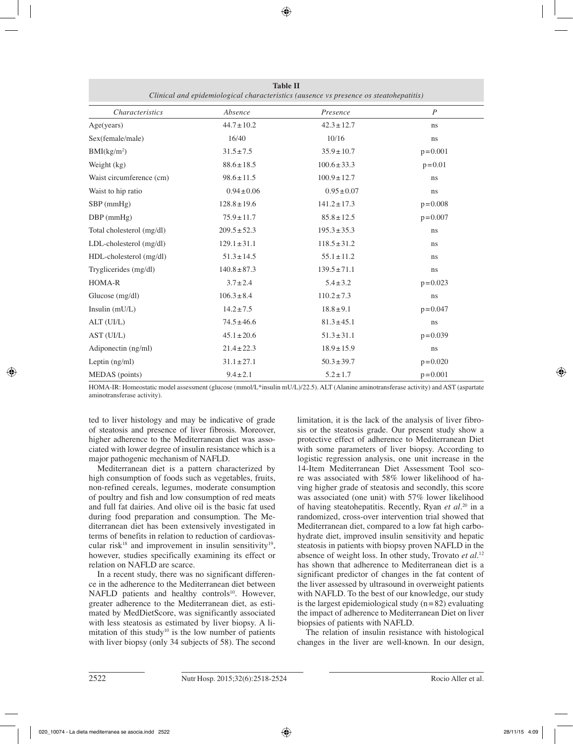| Clinical and epidemiological characteristics (ausence vs presence os steatohepatitis) |                  |                  |                |  |  |
|---------------------------------------------------------------------------------------|------------------|------------------|----------------|--|--|
| <i>Characteristics</i>                                                                | Absence          | Presence         | $\overline{P}$ |  |  |
| Age(years)                                                                            | $44.7 \pm 10.2$  | $42.3 \pm 12.7$  | ns             |  |  |
| Sex(female/male)                                                                      | 16/40            | 10/16            | ns             |  |  |
| BMI(kg/m <sup>2</sup> )                                                               | $31.5 \pm 7.5$   | $35.9 \pm 10.7$  | $p = 0.001$    |  |  |
| Weight (kg)                                                                           | $88.6 \pm 18.5$  | $100.6 \pm 33.3$ | $p = 0.01$     |  |  |
| Waist circumference (cm)                                                              | $98.6 \pm 11.5$  | $100.9 \pm 12.7$ | ns             |  |  |
| Waist to hip ratio                                                                    | $0.94 \pm 0.06$  | $0.95 \pm 0.07$  | ns             |  |  |
| $SBP$ (mmHg)                                                                          | $128.8 \pm 19.6$ | $141.2 \pm 17.3$ | $p = 0.008$    |  |  |
| $DBP$ (mmHg)                                                                          | $75.9 \pm 11.7$  | $85.8 \pm 12.5$  | $p = 0.007$    |  |  |
| Total cholesterol (mg/dl)                                                             | $209.5 \pm 52.3$ | $195.3 \pm 35.3$ | ns             |  |  |
| LDL-cholesterol (mg/dl)                                                               | $129.1 \pm 31.1$ | $118.5 \pm 31.2$ | ns             |  |  |
| HDL-cholesterol (mg/dl)                                                               | $51.3 \pm 14.5$  | $55.1 \pm 11.2$  | <sub>ns</sub>  |  |  |
| Tryglicerides (mg/dl)                                                                 | $140.8 \pm 87.3$ | $139.5 \pm 71.1$ | ns             |  |  |
| HOMA-R                                                                                | $3.7 \pm 2.4$    | $5.4 \pm 3.2$    | $p = 0.023$    |  |  |
| Glucose (mg/dl)                                                                       | $106.3 \pm 8.4$  | $110.2 \pm 7.3$  | ns             |  |  |
| Insulin $(mU/L)$                                                                      | $14.2 \pm 7.5$   | $18.8 \pm 9.1$   | $p = 0.047$    |  |  |
| ALT (UI/L)                                                                            | $74.5 \pm 46.6$  | $81.3 \pm 45.1$  | ns             |  |  |
| AST (UI/L)                                                                            | $45.1 \pm 20.6$  | $51.3 \pm 31.1$  | $p = 0.039$    |  |  |
| Adiponectin (ng/ml)                                                                   | $21.4 \pm 22.3$  | $18.9 \pm 15.9$  | ns             |  |  |
| Leptin $(ng/ml)$                                                                      | $31.1 \pm 27.1$  | $50.3 \pm 39.7$  | $p = 0.020$    |  |  |
| MEDAS (points)                                                                        | $9.4 \pm 2.1$    | $5.2 \pm 1.7$    | $p = 0.001$    |  |  |

**Table II**

HOMA-IR: Homeostatic model assessment (glucose (mmol/L\*insulin mU/L)/22.5). ALT (Alanine aminotransferase activity) and AST (aspartate aminotransferase activity).

ted to liver histology and may be indicative of grade of steatosis and presence of liver fibrosis. Moreover, higher adherence to the Mediterranean diet was associated with lower degree of insulin resistance which is a major pathogenic mechanism of NAFLD.

Mediterranean diet is a pattern characterized by high consumption of foods such as vegetables, fruits, non-refined cereals, legumes, moderate consumption of poultry and fish and low consumption of red meats and full fat dairies. And olive oil is the basic fat used during food preparation and consumption. The Mediterranean diet has been extensively investigated in terms of benefits in relation to reduction of cardiovascular risk<sup>18</sup> and improvement in insulin sensitivity<sup>19</sup>, however, studies specifically examining its effect or relation on NAFLD are scarce.

In a recent study, there was no significant difference in the adherence to the Mediterranean diet between NAFLD patients and healthy controls<sup>10</sup>. However, greater adherence to the Mediterranean diet, as estimated by MedDietScore, was significantly associated with less steatosis as estimated by liver biopsy. A limitation of this study<sup>10</sup> is the low number of patients with liver biopsy (only 34 subjects of 58). The second limitation, it is the lack of the analysis of liver fibrosis or the steatosis grade. Our present study show a protective effect of adherence to Mediterranean Diet with some parameters of liver biopsy. According to logistic regression analysis, one unit increase in the 14-Item Mediterranean Diet Assessment Tool score was associated with 58% lower likelihood of having higher grade of steatosis and secondly, this score was associated (one unit) with 57% lower likelihood of having steatohepatitis. Recently, Ryan *et al.*20 in a randomized, cross-over intervention trial showed that Mediterranean diet, compared to a low fat high carbohydrate diet, improved insulin sensitivity and hepatic steatosis in patients with biopsy proven NAFLD in the absence of weight loss. In other study, Trovato *et al.*<sup>12</sup> has shown that adherence to Mediterranean diet is a significant predictor of changes in the fat content of the liver assessed by ultrasound in overweight patients with NAFLD. To the best of our knowledge, our study is the largest epidemiological study  $(n=82)$  evaluating the impact of adherence to Mediterranean Diet on liver biopsies of patients with NAFLD.

The relation of insulin resistance with histological changes in the liver are well-known. In our design,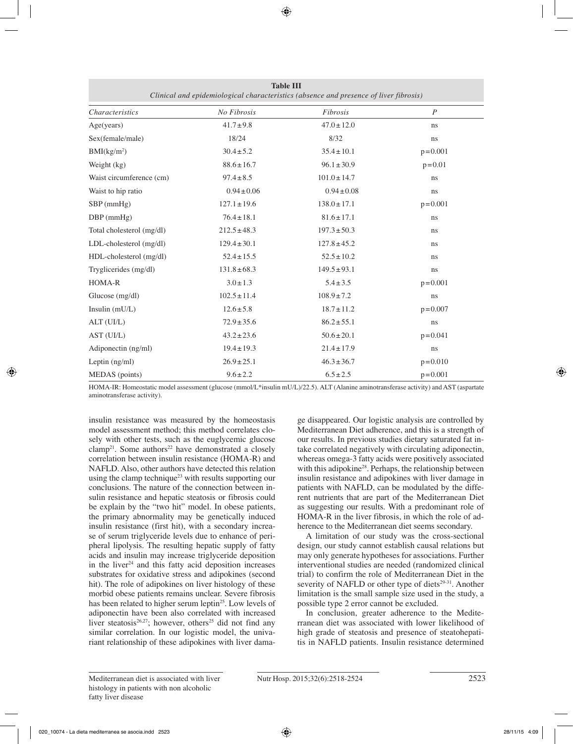| Clinical and epidemiological characteristics (absence and presence of liver fibrosis) |                  |                  |                  |  |  |
|---------------------------------------------------------------------------------------|------------------|------------------|------------------|--|--|
| <i>Characteristics</i>                                                                | No Fibrosis      | Fibrosis         | $\boldsymbol{P}$ |  |  |
| Age(vears)                                                                            | $41.7 \pm 9.8$   | $47.0 \pm 12.0$  | ns               |  |  |
| Sex(female/male)                                                                      | 18/24            | 8/32             | ns               |  |  |
| BMI(kg/m <sup>2</sup> )                                                               | $30.4 \pm 5.2$   | $35.4 \pm 10.1$  | $p = 0.001$      |  |  |
| Weight (kg)                                                                           | $88.6 \pm 16.7$  | $96.1 \pm 30.9$  | $p = 0.01$       |  |  |
| Waist circumference (cm)                                                              | $97.4 \pm 8.5$   | $101.0 \pm 14.7$ | ns               |  |  |
| Waist to hip ratio                                                                    | $0.94 \pm 0.06$  | $0.94 \pm 0.08$  | ns               |  |  |
| $SBP$ (mmHg)                                                                          | $127.1 \pm 19.6$ | $138.0 \pm 17.1$ | $p = 0.001$      |  |  |
| $DBP$ (mmHg)                                                                          | $76.4 \pm 18.1$  | $81.6 \pm 17.1$  | ns               |  |  |
| Total cholesterol (mg/dl)                                                             | $212.5 \pm 48.3$ | $197.3 \pm 50.3$ | ns               |  |  |
| LDL-cholesterol (mg/dl)                                                               | $129.4 \pm 30.1$ | $127.8 \pm 45.2$ | ns               |  |  |
| HDL-cholesterol (mg/dl)                                                               | $52.4 \pm 15.5$  | $52.5 \pm 10.2$  | ns               |  |  |
| Tryglicerides (mg/dl)                                                                 | $131.8 \pm 68.3$ | $149.5 \pm 93.1$ | ns               |  |  |
| HOMA-R                                                                                | $3.0 \pm 1.3$    | $5.4 \pm 3.5$    | $p = 0.001$      |  |  |
| Glucose (mg/dl)                                                                       | $102.5 \pm 11.4$ | $108.9 \pm 7.2$  | ns               |  |  |
| Insulin $(mU/L)$                                                                      | $12.6 \pm 5.8$   | $18.7 \pm 11.2$  | $p = 0.007$      |  |  |
| ALT (UI/L)                                                                            | $72.9 \pm 35.6$  | $86.2 \pm 55.1$  | ns               |  |  |
| AST (UI/L)                                                                            | $43.2 \pm 23.6$  | $50.6 \pm 20.1$  | $p = 0.041$      |  |  |
| Adiponectin (ng/ml)                                                                   | $19.4 \pm 19.3$  | $21.4 \pm 17.9$  | ns               |  |  |
| Leptin $(ng/ml)$                                                                      | $26.9 \pm 25.1$  | $46.3 \pm 36.7$  | $p = 0.010$      |  |  |
| MEDAS (points)                                                                        | $9.6 \pm 2.2$    | $6.5 \pm 2.5$    | $p = 0.001$      |  |  |

**Table III**

HOMA-IR: Homeostatic model assessment (glucose (mmol/L\*insulin mU/L)/22.5). ALT (Alanine aminotransferase activity) and AST (aspartate aminotransferase activity).

insulin resistance was measured by the homeostasis model assessment method; this method correlates closely with other tests, such as the euglycemic glucose clamp<sup>21</sup>. Some authors<sup>22</sup> have demonstrated a closely correlation between insulin resistance (HOMA-R) and NAFLD. Also, other authors have detected this relation using the clamp technique<sup>23</sup> with results supporting our conclusions. The nature of the connection between insulin resistance and hepatic steatosis or fibrosis could be explain by the "two hit" model. In obese patients, the primary abnormality may be genetically induced insulin resistance (first hit), with a secondary increase of serum triglyceride levels due to enhance of peripheral lipolysis. The resulting hepatic supply of fatty acids and insulin may increase triglyceride deposition in the liver<sup>24</sup> and this fatty acid deposition increases substrates for oxidative stress and adipokines (second hit). The role of adipokines on liver histology of these morbid obese patients remains unclear. Severe fibrosis has been related to higher serum leptin<sup>25</sup>. Low levels of adiponectin have been also correlated with increased liver steatosis<sup>26,27</sup>; however, others<sup>25</sup> did not find any similar correlation. In our logistic model, the univariant relationship of these adipokines with liver dama-

ge disappeared. Our logistic analysis are controlled by Mediterranean Diet adherence, and this is a strength of our results. In previous studies dietary saturated fat intake correlated negatively with circulating adiponectin, whereas omega-3 fatty acids were positively associated with this adipokine<sup>28</sup>. Perhaps, the relationship between insulin resistance and adipokines with liver damage in patients with NAFLD, can be modulated by the different nutrients that are part of the Mediterranean Diet as suggesting our results. With a predominant role of HOMA-R in the liver fibrosis, in which the role of adherence to the Mediterranean diet seems secondary.

A limitation of our study was the cross-sectional design, our study cannot establish causal relations but may only generate hypotheses for associations. Further interventional studies are needed (randomized clinical trial) to confirm the role of Mediterranean Diet in the severity of NAFLD or other type of diets<sup>29-31</sup>. Another limitation is the small sample size used in the study, a possible type 2 error cannot be excluded.

In conclusion, greater adherence to the Mediterranean diet was associated with lower likelihood of high grade of steatosis and presence of steatohepatitis in NAFLD patients. Insulin resistance determined